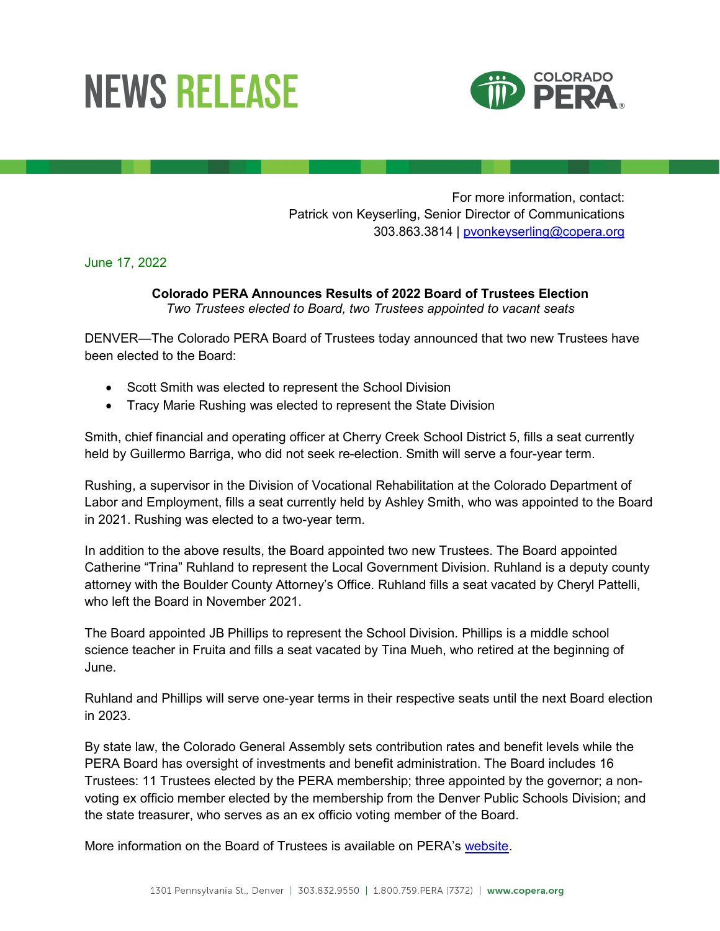## **NEWS RELEASE**



For more information, contact: Patrick von Keyserling, Senior Director of Communications 303.863.3814 | [pvonkeyserling@copera.org](mailto:pvonkeyserling@copera.org)

June 17, 2022

## **Colorado PERA Announces Results of 2022 Board of Trustees Election** *Two Trustees elected to Board, two Trustees appointed to vacant seats*

DENVER—The Colorado PERA Board of Trustees today announced that two new Trustees have been elected to the Board:

- Scott Smith was elected to represent the School Division
- Tracy Marie Rushing was elected to represent the State Division

Smith, chief financial and operating officer at Cherry Creek School District 5, fills a seat currently held by Guillermo Barriga, who did not seek re-election. Smith will serve a four-year term.

Rushing, a supervisor in the Division of Vocational Rehabilitation at the Colorado Department of Labor and Employment, fills a seat currently held by Ashley Smith, who was appointed to the Board in 2021. Rushing was elected to a two-year term.

In addition to the above results, the Board appointed two new Trustees. The Board appointed Catherine "Trina" Ruhland to represent the Local Government Division. Ruhland is a deputy county attorney with the Boulder County Attorney's Office. Ruhland fills a seat vacated by Cheryl Pattelli, who left the Board in November 2021.

The Board appointed JB Phillips to represent the School Division. Phillips is a middle school science teacher in Fruita and fills a seat vacated by Tina Mueh, who retired at the beginning of June.

Ruhland and Phillips will serve one-year terms in their respective seats until the next Board election in 2023.

By state law, the Colorado General Assembly sets contribution rates and benefit levels while the PERA Board has oversight of investments and benefit administration. The Board includes 16 Trustees: 11 Trustees elected by the PERA membership; three appointed by the governor; a nonvoting ex officio member elected by the membership from the Denver Public Schools Division; and the state treasurer, who serves as an ex officio voting member of the Board.

More information on the Board of Trustees is available on PERA's [website.](https://www.copera.org/)